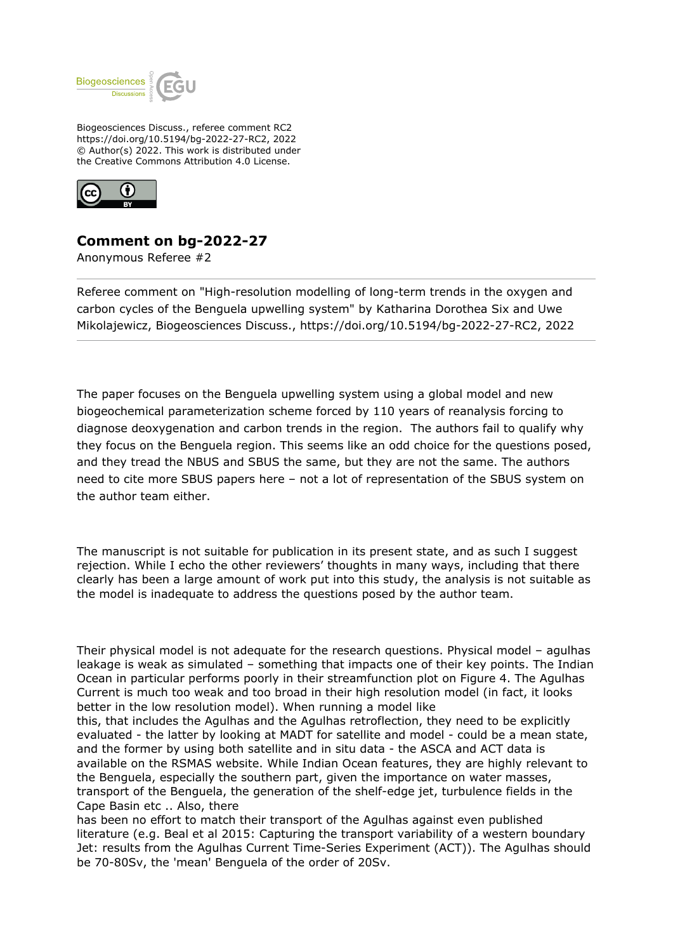

Biogeosciences Discuss., referee comment RC2 https://doi.org/10.5194/bg-2022-27-RC2, 2022 © Author(s) 2022. This work is distributed under the Creative Commons Attribution 4.0 License.



## **Comment on bg-2022-27**

Anonymous Referee #2

Referee comment on "High-resolution modelling of long-term trends in the oxygen and carbon cycles of the Benguela upwelling system" by Katharina Dorothea Six and Uwe Mikolajewicz, Biogeosciences Discuss., https://doi.org/10.5194/bg-2022-27-RC2, 2022

The paper focuses on the Benguela upwelling system using a global model and new biogeochemical parameterization scheme forced by 110 years of reanalysis forcing to diagnose deoxygenation and carbon trends in the region. The authors fail to qualify why they focus on the Benguela region. This seems like an odd choice for the questions posed, and they tread the NBUS and SBUS the same, but they are not the same. The authors need to cite more SBUS papers here – not a lot of representation of the SBUS system on the author team either.

The manuscript is not suitable for publication in its present state, and as such I suggest rejection. While I echo the other reviewers' thoughts in many ways, including that there clearly has been a large amount of work put into this study, the analysis is not suitable as the model is inadequate to address the questions posed by the author team.

Their physical model is not adequate for the research questions. Physical model – agulhas leakage is weak as simulated – something that impacts one of their key points. The Indian Ocean in particular performs poorly in their streamfunction plot on Figure 4. The Agulhas Current is much too weak and too broad in their high resolution model (in fact, it looks better in the low resolution model). When running a model like

this, that includes the Agulhas and the Agulhas retroflection, they need to be explicitly evaluated - the latter by looking at MADT for satellite and model - could be a mean state, and the former by using both satellite and in situ data - the ASCA and ACT data is available on the RSMAS website. While Indian Ocean features, they are highly relevant to the Benguela, especially the southern part, given the importance on water masses, transport of the Benguela, the generation of the shelf-edge jet, turbulence fields in the Cape Basin etc .. Also, there

has been no effort to match their transport of the Agulhas against even published literature (e.g. Beal et al 2015: Capturing the transport variability of a western boundary Jet: results from the Agulhas Current Time-Series Experiment (ACT)). The Agulhas should be 70-80Sv, the 'mean' Benguela of the order of 20Sv.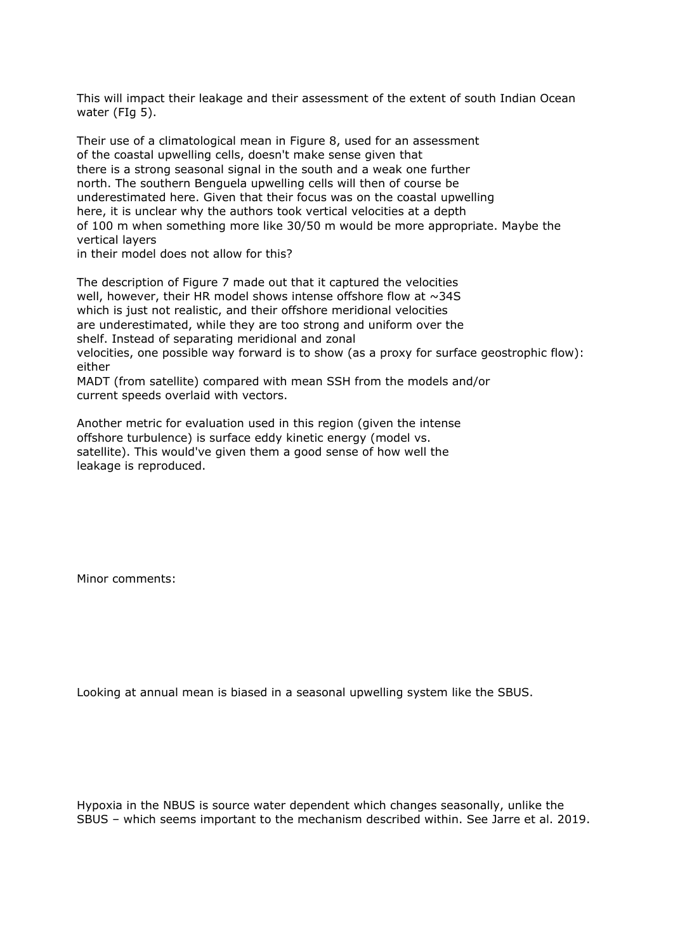This will impact their leakage and their assessment of the extent of south Indian Ocean water (FIg 5).

Their use of a climatological mean in Figure 8, used for an assessment of the coastal upwelling cells, doesn't make sense given that there is a strong seasonal signal in the south and a weak one further north. The southern Benguela upwelling cells will then of course be underestimated here. Given that their focus was on the coastal upwelling here, it is unclear why the authors took vertical velocities at a depth of 100 m when something more like 30/50 m would be more appropriate. Maybe the vertical layers

in their model does not allow for this?

The description of Figure 7 made out that it captured the velocities well, however, their HR model shows intense offshore flow at ~34S which is just not realistic, and their offshore meridional velocities are underestimated, while they are too strong and uniform over the shelf. Instead of separating meridional and zonal velocities, one possible way forward is to show (as a proxy for surface geostrophic flow): either MADT (from satellite) compared with mean SSH from the models and/or

current speeds overlaid with vectors.

Another metric for evaluation used in this region (given the intense offshore turbulence) is surface eddy kinetic energy (model vs. satellite). This would've given them a good sense of how well the leakage is reproduced.

Minor comments:

Looking at annual mean is biased in a seasonal upwelling system like the SBUS.

Hypoxia in the NBUS is source water dependent which changes seasonally, unlike the SBUS – which seems important to the mechanism described within. See Jarre et al. 2019.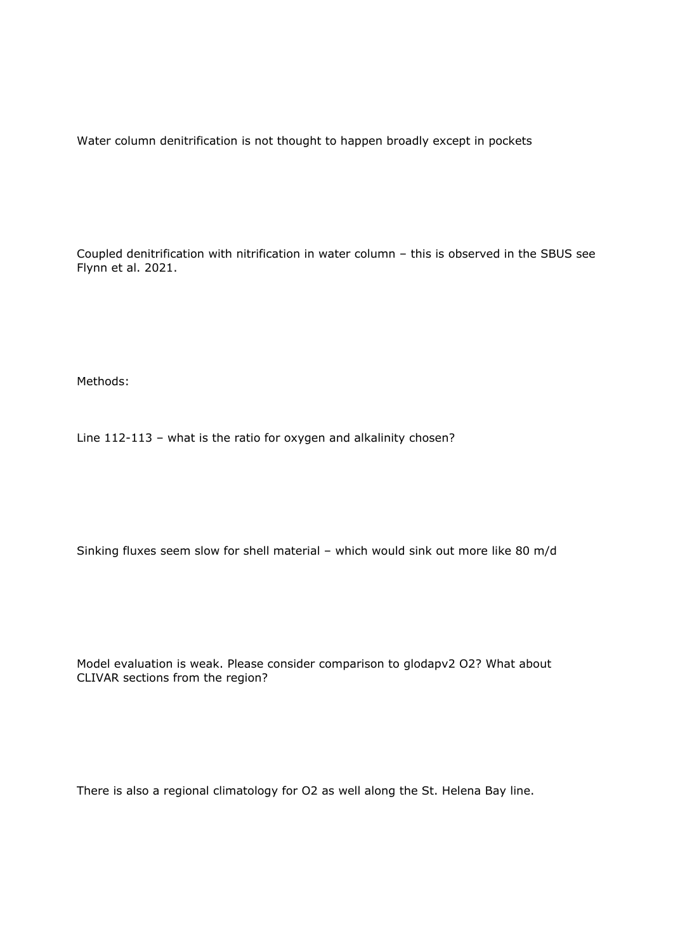Water column denitrification is not thought to happen broadly except in pockets

Coupled denitrification with nitrification in water column – this is observed in the SBUS see Flynn et al. 2021.

Methods:

Line 112-113 – what is the ratio for oxygen and alkalinity chosen?

Sinking fluxes seem slow for shell material – which would sink out more like 80 m/d

Model evaluation is weak. Please consider comparison to glodapv2 O2? What about CLIVAR sections from the region?

There is also a regional climatology for O2 as well along the St. Helena Bay line.